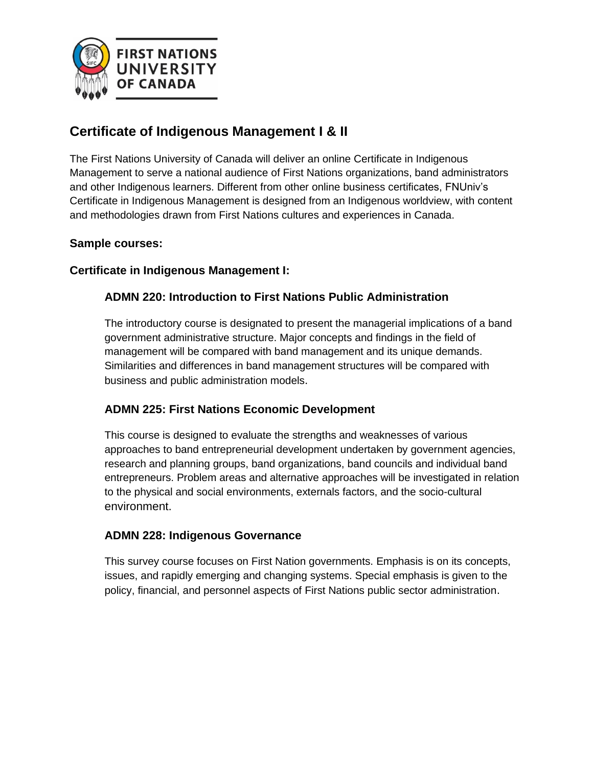

# **Certificate of Indigenous Management I & II**

The First Nations University of Canada will deliver an online Certificate in Indigenous Management to serve a national audience of First Nations organizations, band administrators and other Indigenous learners. Different from other online business certificates, FNUniv's Certificate in Indigenous Management is designed from an Indigenous worldview, with content and methodologies drawn from First Nations cultures and experiences in Canada.

## **Sample courses:**

## **Certificate in Indigenous Management I:**

# **ADMN 220: Introduction to First Nations Public Administration**

The introductory course is designated to present the managerial implications of a band government administrative structure. Major concepts and findings in the field of management will be compared with band management and its unique demands. Similarities and differences in band management structures will be compared with business and public administration models.

# **ADMN 225: First Nations Economic Development**

This course is designed to evaluate the strengths and weaknesses of various approaches to band entrepreneurial development undertaken by government agencies, research and planning groups, band organizations, band councils and individual band entrepreneurs. Problem areas and alternative approaches will be investigated in relation to the physical and social environments, externals factors, and the socio-cultural environment.

#### **ADMN 228: Indigenous Governance**

This survey course focuses on First Nation governments. Emphasis is on its concepts, issues, and rapidly emerging and changing systems. Special emphasis is given to the policy, financial, and personnel aspects of First Nations public sector administration.